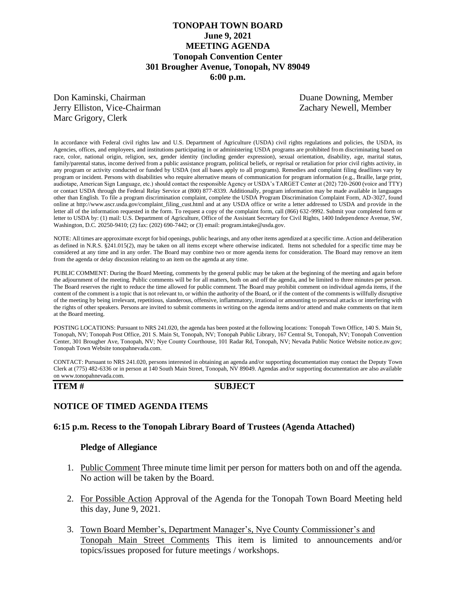# **TONOPAH TOWN BOARD June 9, 2021 MEETING AGENDA Tonopah Convention Center 301 Brougher Avenue, Tonopah, NV 89049 6:00 p.m.**

Don Kaminski, Chairman Duane Downing, Member Jerry Elliston, Vice-Chairman Zachary Newell, Member Marc Grigory, Clerk

In accordance with Federal civil rights law and U.S. Department of Agriculture (USDA) civil rights regulations and policies, the USDA, its Agencies, offices, and employees, and institutions participating in or administering USDA programs are prohibited from discriminating based on race, color, national origin, religion, sex, gender identity (including gender expression), sexual orientation, disability, age, marital status, family/parental status, income derived from a public assistance program, political beliefs, or reprisal or retaliation for prior civil rights activity, in any program or activity conducted or funded by USDA (not all bases apply to all programs). Remedies and complaint filing deadlines vary by program or incident. Persons with disabilities who require alternative means of communication for program information (e.g., Braille, large print, audiotape, American Sign Language, etc.) should contact the responsible Agency or USDA's TARGET Center at (202) 720-2600 (voice and TTY) or contact USDA through the Federal Relay Service at (800) 877-8339. Additionally, program information may be made available in languages other than English. To file a program discrimination complaint, complete the USDA Program Discrimination Complaint Form, AD-3027, found online at http://www.ascr.usda.gov/complaint\_filing\_cust.html and at any USDA office or write a letter addressed to USDA and provide in the letter all of the information requested in the form. To request a copy of the complaint form, call (866) 632-9992. Submit your completed form or letter to USDA by: (1) mail: U.S. Department of Agriculture, Office of the Assistant Secretary for Civil Rights, 1400 Independence Avenue, SW, Washington, D.C. 20250-9410; (2) fax: (202) 690-7442; or (3) email: program.intake@usda.gov.

NOTE: All times are approximate except for bid openings, public hearings, and any other items agendized at a specific time. Action and deliberation as defined in N.R.S. §241.015(2), may be taken on all items except where otherwise indicated. Items not scheduled for a specific time may be considered at any time and in any order. The Board may combine two or more agenda items for consideration. The Board may remove an item from the agenda or delay discussion relating to an item on the agenda at any time.

PUBLIC COMMENT: During the Board Meeting, comments by the general public may be taken at the beginning of the meeting and again before the adjournment of the meeting. Public comments will be for all matters, both on and off the agenda, and be limited to three minutes per person. The Board reserves the right to reduce the time allowed for public comment. The Board may prohibit comment on individual agenda items, if the content of the comment is a topic that is not relevant to, or within the authority of the Board, or if the content of the comments is willfully disruptive of the meeting by being irrelevant, repetitious, slanderous, offensive, inflammatory, irrational or amounting to personal attacks or interfering with the rights of other speakers. Persons are invited to submit comments in writing on the agenda items and/or attend and make comments on that item at the Board meeting.

POSTING LOCATIONS: Pursuant to NRS 241.020, the agenda has been posted at the following locations: Tonopah Town Office, 140 S. Main St, Tonopah, NV; Tonopah Post Office, 201 S. Main St, Tonopah, NV; Tonopah Public Library, 167 Central St, Tonopah, NV; Tonopah Convention Center, 301 Brougher Ave, Tonopah, NV; Nye County Courthouse, 101 Radar Rd, Tonopah, NV; Nevada Public Notice Website notice.nv.gov; Tonopah Town Website tonopahnevada.com.

CONTACT: Pursuant to NRS 241.020, persons interested in obtaining an agenda and/or supporting documentation may contact the Deputy Town Clerk at (775) 482-6336 or in person at 140 South Main Street, Tonopah, NV 89049. Agendas and/or supporting documentation are also available on www.tonopahnevada.com.

### **ITEM # SUBJECT**

## **NOTICE OF TIMED AGENDA ITEMS**

### **6:15 p.m. Recess to the Tonopah Library Board of Trustees (Agenda Attached)**

### **Pledge of Allegiance**

- 1. Public Comment Three minute time limit per person for matters both on and off the agenda. No action will be taken by the Board.
- 2. For Possible Action Approval of the Agenda for the Tonopah Town Board Meeting held this day, June 9, 2021.
- 3. Town Board Member's, Department Manager's, Nye County Commissioner's and Tonopah Main Street Comments This item is limited to announcements and/or topics/issues proposed for future meetings / workshops.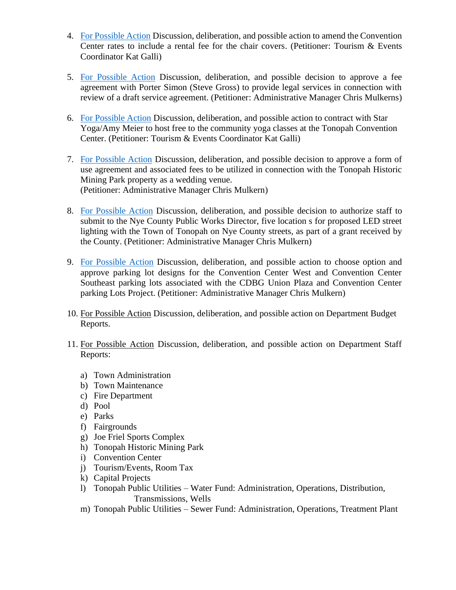- 4. [For Possible Action](https://www.tonopahnevada.com/agendas/backup-2021/6-9-2021-item-4.pdf) Discussion, deliberation, and possible action to amend the Convention Center rates to include a rental fee for the chair covers. (Petitioner: Tourism & Events Coordinator Kat Galli)
- 5. [For Possible Action](https://www.tonopahnevada.com/agendas/backup-2021/6-9-2021-item-5.pdf) Discussion, deliberation, and possible decision to approve a fee agreement with Porter Simon (Steve Gross) to provide legal services in connection with review of a draft service agreement. (Petitioner: Administrative Manager Chris Mulkerns)
- 6. [For Possible Action](https://www.tonopahnevada.com/agendas/backup-2021/6-9-2021-item-6.pdf) Discussion, deliberation, and possible action to contract with Star Yoga/Amy Meier to host free to the community yoga classes at the Tonopah Convention Center. (Petitioner: Tourism & Events Coordinator Kat Galli)
- 7. [For Possible Action](https://www.tonopahnevada.com/agendas/backup-2021/6-9-2021-item-7.pdf) Discussion, deliberation, and possible decision to approve a form of use agreement and associated fees to be utilized in connection with the Tonopah Historic Mining Park property as a wedding venue. (Petitioner: Administrative Manager Chris Mulkern)
- 8. [For Possible Action](https://www.tonopahnevada.com/agendas/backup-2021/6-9-2021-item-8.pdf) Discussion, deliberation, and possible decision to authorize staff to submit to the Nye County Public Works Director, five location s for proposed LED street lighting with the Town of Tonopah on Nye County streets, as part of a grant received by the County. (Petitioner: Administrative Manager Chris Mulkern)
- 9. [For Possible Action](https://www.tonopahnevada.com/agendas/backup-2021/6-9-2021-item-9.pdf) Discussion, deliberation, and possible action to choose option and approve parking lot designs for the Convention Center West and Convention Center Southeast parking lots associated with the CDBG Union Plaza and Convention Center parking Lots Project. (Petitioner: Administrative Manager Chris Mulkern)
- 10. For Possible Action Discussion, deliberation, and possible action on Department Budget Reports.
- 11. For Possible Action Discussion, deliberation, and possible action on Department Staff Reports:
	- a) Town Administration
	- b) Town Maintenance
	- c) Fire Department
	- d) Pool
	- e) Parks
	- f) Fairgrounds
	- g) Joe Friel Sports Complex
	- h) Tonopah Historic Mining Park
	- i) Convention Center
	- j) Tourism/Events, Room Tax
	- k) Capital Projects
	- l) Tonopah Public Utilities Water Fund: Administration, Operations, Distribution, Transmissions, Wells
	- m) Tonopah Public Utilities Sewer Fund: Administration, Operations, Treatment Plant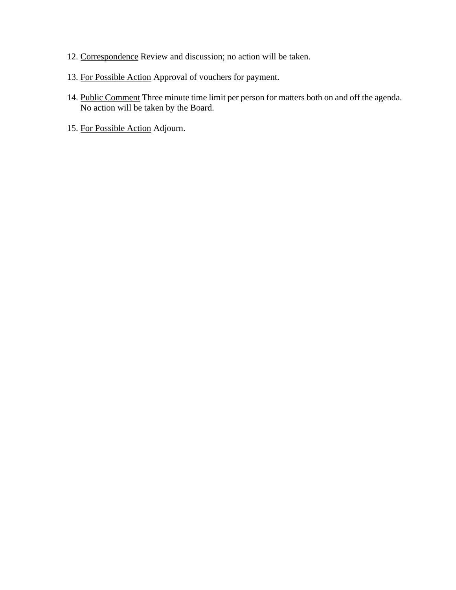- 12. Correspondence Review and discussion; no action will be taken.
- 13. For Possible Action Approval of vouchers for payment.
- 14. Public Comment Three minute time limit per person for matters both on and off the agenda. No action will be taken by the Board.
- 15. For Possible Action Adjourn.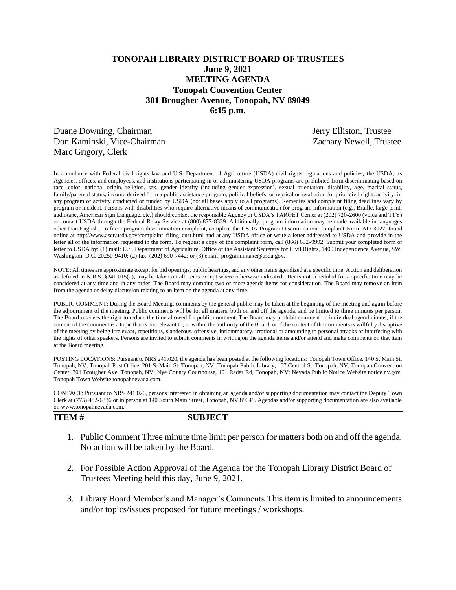# **TONOPAH LIBRARY DISTRICT BOARD OF TRUSTEES June 9, 2021 MEETING AGENDA Tonopah Convention Center 301 Brougher Avenue, Tonopah, NV 89049 6:15 p.m.**

Duane Downing, Chairman Jerry Elliston, Trustee Don Kaminski, Vice-Chairman Zachary Newell, Trustee Marc Grigory, Clerk

In accordance with Federal civil rights law and U.S. Department of Agriculture (USDA) civil rights regulations and policies, the USDA, its Agencies, offices, and employees, and institutions participating in or administering USDA programs are prohibited from discriminating based on race, color, national origin, religion, sex, gender identity (including gender expression), sexual orientation, disability, age, marital status, family/parental status, income derived from a public assistance program, political beliefs, or reprisal or retaliation for prior civil rights activity, in any program or activity conducted or funded by USDA (not all bases apply to all programs). Remedies and complaint filing deadlines vary by program or incident. Persons with disabilities who require alternative means of communication for program information (e.g., Braille, large print, audiotape, American Sign Language, etc.) should contact the responsible Agency or USDA's TARGET Center at (202) 720-2600 (voice and TTY) or contact USDA through the Federal Relay Service at (800) 877-8339. Additionally, program information may be made available in languages other than English. To file a program discrimination complaint, complete the USDA Program Discrimination Complaint Form, AD-3027, found online at http://www.ascr.usda.gov/complaint\_filing\_cust.html and at any USDA office or write a letter addressed to USDA and provide in the letter all of the information requested in the form. To request a copy of the complaint form, call (866) 632-9992. Submit your completed form or letter to USDA by: (1) mail: U.S. Department of Agriculture, Office of the Assistant Secretary for Civil Rights, 1400 Independence Avenue, SW, Washington, D.C. 20250-9410; (2) fax: (202) 690-7442; or (3) email: program.intake@usda.gov.

NOTE: All times are approximate except for bid openings, public hearings, and any other items agendized at a specific time. Action and deliberation as defined in N.R.S. §241.015(2), may be taken on all items except where otherwise indicated. Items not scheduled for a specific time may be considered at any time and in any order. The Board may combine two or more agenda items for consideration. The Board may remove an item from the agenda or delay discussion relating to an item on the agenda at any time.

PUBLIC COMMENT: During the Board Meeting, comments by the general public may be taken at the beginning of the meeting and again before the adjournment of the meeting. Public comments will be for all matters, both on and off the agenda, and be limited to three minutes per person. The Board reserves the right to reduce the time allowed for public comment. The Board may prohibit comment on individual agenda items, if the content of the comment is a topic that is not relevant to, or within the authority of the Board, or if the content of the comments is willfully disruptive of the meeting by being irrelevant, repetitious, slanderous, offensive, inflammatory, irrational or amounting to personal attacks or interfering with the rights of other speakers. Persons are invited to submit comments in writing on the agenda items and/or attend and make comments on that item at the Board meeting.

POSTING LOCATIONS: Pursuant to NRS 241.020, the agenda has been posted at the following locations: Tonopah Town Office, 140 S. Main St, Tonopah, NV; Tonopah Post Office, 201 S. Main St, Tonopah, NV; Tonopah Public Library, 167 Central St, Tonopah, NV; Tonopah Convention Center, 301 Brougher Ave, Tonopah, NV; Nye County Courthouse, 101 Radar Rd, Tonopah, NV; Nevada Public Notice Website notice.nv.gov; Tonopah Town Website tonopahnevada.com.

CONTACT: Pursuant to NRS 241.020, persons interested in obtaining an agenda and/or supporting documentation may contact the Deputy Town Clerk at (775) 482-6336 or in person at 140 South Main Street, Tonopah, NV 89049. Agendas and/or supporting documentation are also available on www.tonopahnevada.com.

**ITEM # SUBJECT**

- 1. Public Comment Three minute time limit per person for matters both on and off the agenda. No action will be taken by the Board.
- 2. For Possible Action Approval of the Agenda for the Tonopah Library District Board of Trustees Meeting held this day, June 9, 2021.
- 3. Library Board Member's and Manager's Comments This item is limited to announcements and/or topics/issues proposed for future meetings / workshops.